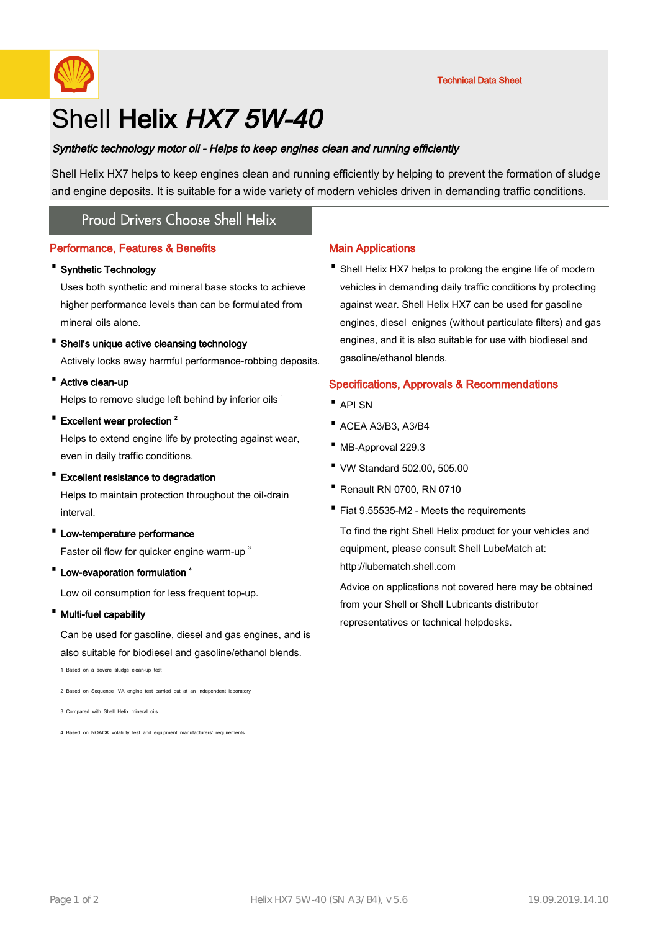

## Shell Helix HX7 5W-40

#### Synthetic technology motor oil - Helps to keep engines clean and running efficiently

Shell Helix HX7 helps to keep engines clean and running efficiently by helping to prevent the formation of sludge and engine deposits. It is suitable for a wide variety of modern vehicles driven in demanding traffic conditions.

## **Proud Drivers Choose Shell Helix**

#### Performance, Features & Benefits

#### · Synthetic Technology

Uses both synthetic and mineral base stocks to achieve higher performance levels than can be formulated from mineral oils alone.

#### · Shell's unique active cleansing technology

Actively locks away harmful performance-robbing deposits.

#### · Active clean-up

Helps to remove sludge left behind by inferior oils 1

# • Excellent wear protection<sup>2</sup>

Helps to extend engine life by protecting against wear, even in daily traffic conditions.

#### · Excellent resistance to degradation

Helps to maintain protection throughout the oil-drain interval.

· Low-temperature performance

Faster oil flow for quicker engine warm-up<sup>3</sup>

• Low-evaporation formulation <sup>4</sup>

Low oil consumption for less frequent top-up.

· Multi-fuel capability

Can be used for gasoline, diesel and gas engines, and is also suitable for biodiesel and gasoline/ethanol blends.

1 Based on a severe sludge clean-up test

2 Based on Sequence IVA engine test carried out at an independent laboratory

3 Compared with Shell Helix mineral oils

4 Based on NOACK volatility test and equipment manufacturers' requirements

#### Main Applications

• Shell Helix HX7 helps to prolong the engine life of modern vehicles in demanding daily traffic conditions by protecting against wear. Shell Helix HX7 can be used for gasoline engines, diesel enignes (without particulate filters) and gas engines, and it is also suitable for use with biodiesel and gasoline/ethanol blends.

#### Specifications, Approvals & Recommendations

- · API SN
- · ACEA A3/B3, A3/B4
- · MB-Approval 229.3
- · VW Standard 502.00, 505.00
- · Renault RN 0700, RN 0710
- · Fiat 9.55535-M2 Meets the requirements

To find the right Shell Helix product for your vehicles and equipment, please consult Shell LubeMatch at: http://lubematch.shell.com

Advice on applications not covered here may be obtained from your Shell or Shell Lubricants distributor representatives or technical helpdesks.